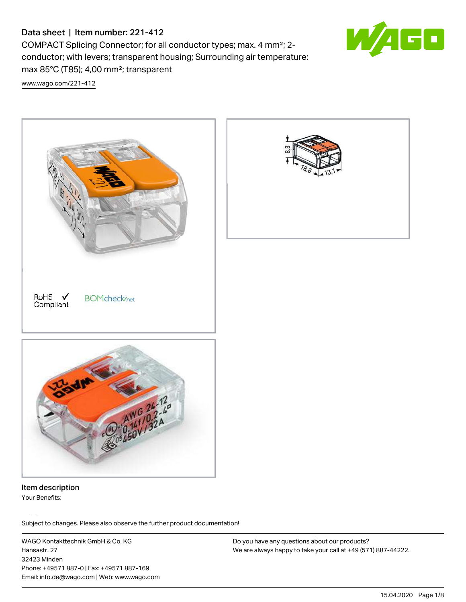# Data sheet | Item number: 221-412

COMPACT Splicing Connector; for all conductor types; max. 4 mm²; 2 conductor; with levers; transparent housing; Surrounding air temperature: max 85°C (T85); 4,00 mm²; transparent

[www.wago.com/221-412](http://www.wago.com/221-412)



Item description Your Benefits:

Subject to changes. Please also observe the further product documentation!

WAGO Kontakttechnik GmbH & Co. KG Hansastr. 27 32423 Minden Phone: +49571 887-0 | Fax: +49571 887-169 Email: info.de@wago.com | Web: www.wago.com

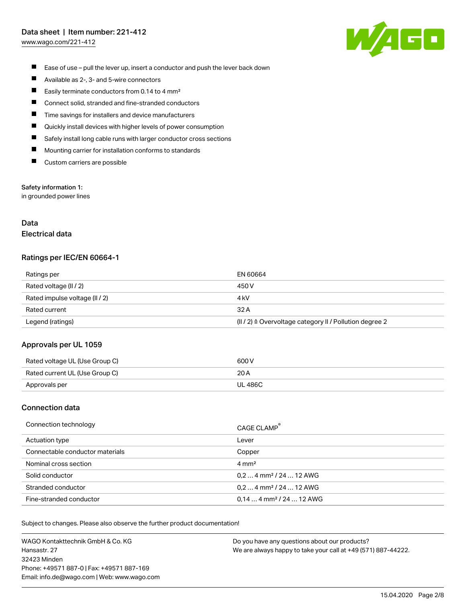# Data sheet | Item number: 221-412

[www.wago.com/221-412](http://www.wago.com/221-412)



- $\blacksquare$ Ease of use – pull the lever up, insert a conductor and push the lever back down
- $\blacksquare$ Available as 2-, 3- and 5-wire connectors
- $\blacksquare$ Easily terminate conductors from 0.14 to 4 mm²
- П Connect solid, stranded and fine-stranded conductors
- П Time savings for installers and device manufacturers
- П Quickly install devices with higher levels of power consumption
- Safely install long cable runs with larger conductor cross sections П
- П Mounting carrier for installation conforms to standards
- $\blacksquare$ Custom carriers are possible

### Safety information 1:

in grounded power lines

## Data Electrical data

#### Ratings per IEC/EN 60664-1

| Ratings per                    | EN 60664                                                |
|--------------------------------|---------------------------------------------------------|
| Rated voltage (II / 2)         | 450 V                                                   |
| Rated impulse voltage (II / 2) | 4 kV                                                    |
| Rated current                  | 32 A                                                    |
| Legend (ratings)               | (II / 2) ≙ Overvoltage category II / Pollution degree 2 |

### Approvals per UL 1059

| Rated voltage UL (Use Group C) | 600 V          |
|--------------------------------|----------------|
| Rated current UL (Use Group C) | 20 A           |
| Approvals per                  | <b>UL 486C</b> |

### Connection data

| Connection technology           | CAGE CLAMP®                           |
|---------------------------------|---------------------------------------|
| Actuation type                  | Lever                                 |
| Connectable conductor materials | Copper                                |
| Nominal cross section           | $4 \text{ mm}^2$                      |
| Solid conductor                 | $0, 2$ 4 mm <sup>2</sup> / 24  12 AWG |
| Stranded conductor              | $0.24$ mm <sup>2</sup> / 24  12 AWG   |
| Fine-stranded conductor         | $0.144$ mm <sup>2</sup> / 24  12 AWG  |

Subject to changes. Please also observe the further product documentation!

WAGO Kontakttechnik GmbH & Co. KG Hansastr. 27 32423 Minden Phone: +49571 887-0 | Fax: +49571 887-169 Email: info.de@wago.com | Web: www.wago.com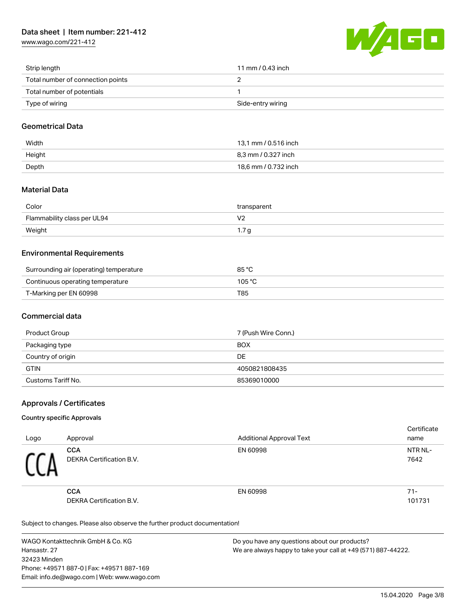[www.wago.com/221-412](http://www.wago.com/221-412)



| Strip length                      | 11 mm / 0.43 inch |
|-----------------------------------|-------------------|
| Total number of connection points |                   |
| Total number of potentials        |                   |
| Type of wiring                    | Side-entry wiring |

## Geometrical Data

| Width  | 13,1 mm / 0.516 inch |
|--------|----------------------|
| Height | 8.3 mm / 0.327 inch  |
| Depth  | 18,6 mm / 0.732 inch |

## Material Data

| Color                       | transparent        |
|-----------------------------|--------------------|
| Flammability class per UL94 | $\mathcal{U}$<br>. |
| Weight                      | - u<br>1.1         |

## Environmental Requirements

| Surrounding air (operating) temperature | 85 °C  |
|-----------------------------------------|--------|
| Continuous operating temperature        | 105 °C |
| T-Marking per EN 60998                  | T85    |

### Commercial data

| Product Group      | 7 (Push Wire Conn.) |
|--------------------|---------------------|
| Packaging type     | <b>BOX</b>          |
| Country of origin  | DE                  |
| <b>GTIN</b>        | 4050821808435       |
| Customs Tariff No. | 85369010000         |

## Approvals / Certificates

### Country specific Approvals

| Logo | Approval                               | <b>Additional Approval Text</b> | Certificate<br>name |
|------|----------------------------------------|---------------------------------|---------------------|
|      | <b>CCA</b><br>DEKRA Certification B.V. | EN 60998                        | NTR NL-<br>7642     |
|      | <b>CCA</b><br>DEKRA Certification B.V. | EN 60998                        | $71 -$<br>101731    |

Subject to changes. Please also observe the further product documentation!

WAGO Kontakttechnik GmbH & Co. KG Hansastr. 27 32423 Minden Phone: +49571 887-0 | Fax: +49571 887-169 Email: info.de@wago.com | Web: www.wago.com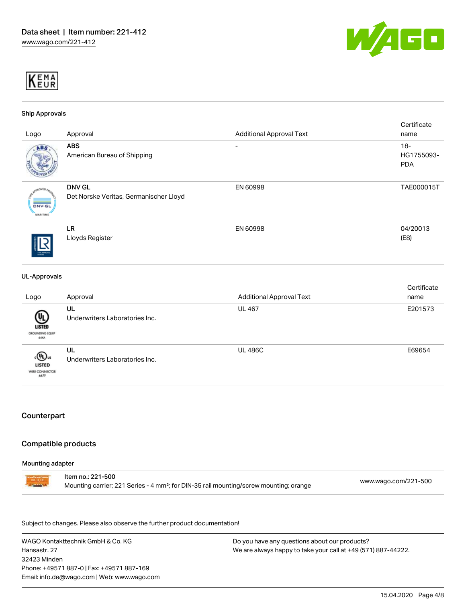



#### Ship Approvals

| Logo                                             | Approval                                                | <b>Additional Approval Text</b> | Certificate<br>name                |
|--------------------------------------------------|---------------------------------------------------------|---------------------------------|------------------------------------|
| ABS                                              | <b>ABS</b><br>American Bureau of Shipping               | Ξ.                              | $18 -$<br>HG1755093-<br><b>PDA</b> |
| <b>aCVED</b><br><b>DNV-GL</b><br><b>MARITIME</b> | <b>DNV GL</b><br>Det Norske Veritas, Germanischer Lloyd | EN 60998                        | TAE000015T                         |
| TVRE ARRACIAN                                    | LR<br>Lloyds Register                                   | EN 60998                        | 04/20013<br>(E8)                   |

#### UL-Approvals

| Logo                                            | Approval                             | <b>Additional Approval Text</b> | Certificate<br>name |
|-------------------------------------------------|--------------------------------------|---------------------------------|---------------------|
| ŲL,<br>LISTED<br>GROUNDING EQUIP<br><b>GEKA</b> | UL<br>Underwriters Laboratories Inc. | <b>UL 467</b>                   | E201573             |
| ‹®ա<br><b>LISTED</b><br>WIRE CONNECTOR<br>667F  | UL<br>Underwriters Laboratories Inc. | <b>UL 486C</b>                  | E69654              |

## Counterpart

#### Compatible products

#### Mounting adapter

Item no.: 221-500 Mounting carrier; 221 Series - 4 mm²; for DIN-35 rail mounting/screw mounting; orange [www.wago.com/221-500](http://www.wago.com/221-500)

Subject to changes. Please also observe the further product documentation!

WAGO Kontakttechnik GmbH & Co. KG Hansastr. 27 32423 Minden Phone: +49571 887-0 | Fax: +49571 887-169 Email: info.de@wago.com | Web: www.wago.com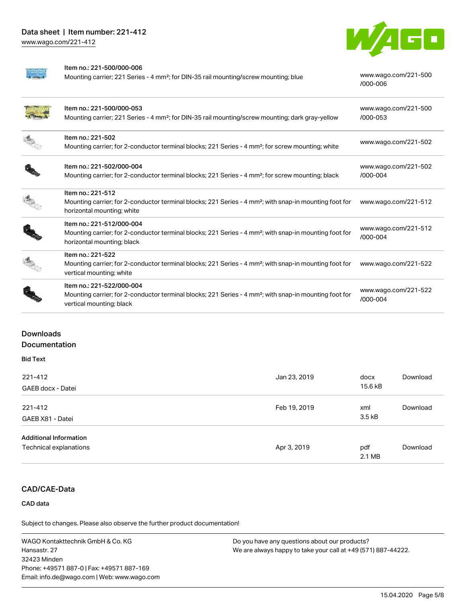[www.wago.com/221-412](http://www.wago.com/221-412)



[/000-006](http://www.wago.com/221-500/000-006)

#### Item no.: 221-500/000-006

Mounting carrier; 221 Series - 4 mm<sup>2</sup>; for DIN-35 rail mounting/screw mounting; blue [www.wago.com/221-500](http://www.wago.com/221-500/000-006)

|  | Item no.: 221-500/000-053                                                                                                                        | www.wago.com/221-500 |
|--|--------------------------------------------------------------------------------------------------------------------------------------------------|----------------------|
|  | Mounting carrier; 221 Series - 4 mm <sup>2</sup> ; for DIN-35 rail mounting/screw mounting; dark gray-yellow                                     | /000-053             |
|  | Item no.: 221-502                                                                                                                                | www.wago.com/221-502 |
|  | Mounting carrier; for 2-conductor terminal blocks; 221 Series - 4 mm <sup>2</sup> ; for screw mounting; white                                    |                      |
|  | Item no.: 221-502/000-004                                                                                                                        | www.wago.com/221-502 |
|  | Mounting carrier; for 2-conductor terminal blocks; 221 Series - 4 mm <sup>2</sup> ; for screw mounting; black                                    | $/000 - 004$         |
|  | Item no.: 221-512                                                                                                                                |                      |
|  | Mounting carrier; for 2-conductor terminal blocks; 221 Series - 4 mm <sup>2</sup> ; with snap-in mounting foot for<br>horizontal mounting; white | www.wago.com/221-512 |
|  | Item no.: 221-512/000-004                                                                                                                        | www.wago.com/221-512 |
|  | Mounting carrier; for 2-conductor terminal blocks; 221 Series - 4 mm <sup>2</sup> ; with snap-in mounting foot for<br>horizontal mounting; black | $/000 - 004$         |
|  | Item no.: 221-522                                                                                                                                |                      |
|  | Mounting carrier; for 2-conductor terminal blocks; 221 Series - 4 mm <sup>2</sup> ; with snap-in mounting foot for<br>vertical mounting; white   | www.wago.com/221-522 |
|  | Item no.: 221-522/000-004                                                                                                                        | www.wago.com/221-522 |
|  | Mounting carrier; for 2-conductor terminal blocks; 221 Series - 4 mm <sup>2</sup> ; with snap-in mounting foot for<br>vertical mounting; black   | $/000 - 004$         |

## **Downloads Documentation**

# Bid Text

| 221-412<br>GAEB docx - Datei                            | Jan 23, 2019 | docx<br>15.6 kB | Download |
|---------------------------------------------------------|--------------|-----------------|----------|
| 221-412<br>GAEB X81 - Datei                             | Feb 19, 2019 | xml<br>3.5 kB   | Download |
| <b>Additional Information</b><br>Technical explanations | Apr 3, 2019  | pdf<br>2.1 MB   | Download |

# CAD/CAE-Data

### CAD data

Subject to changes. Please also observe the further product documentation!

WAGO Kontakttechnik GmbH & Co. KG Hansastr. 27 32423 Minden Phone: +49571 887-0 | Fax: +49571 887-169 Email: info.de@wago.com | Web: www.wago.com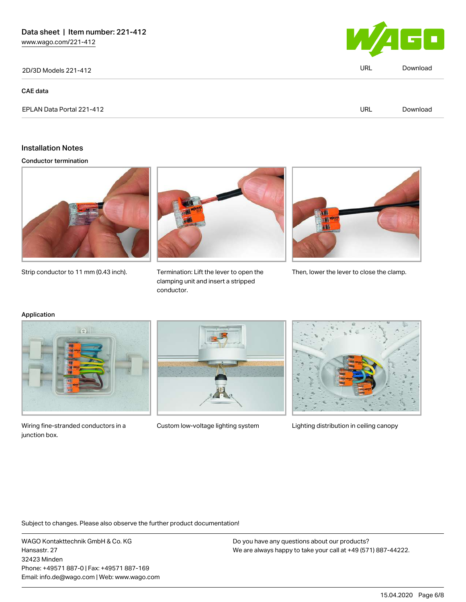2D/3D Models 221-412 URL [Download](https://www.wago.com/de/d/3D_URLS_221-412)

#### CAE data



### Installation Notes

Conductor termination



Strip conductor to 11 mm (0.43 inch).



clamping unit and insert a stripped conductor.



Termination: Lift the lever to open the Then, lower the lever to close the clamp.

#### Application



Wiring fine-stranded conductors in a Custom low-voltage lighting system Lighting distribution in ceiling canopy junction box.





Subject to changes. Please also observe the further product documentation!

WAGO Kontakttechnik GmbH & Co. KG Hansastr. 27 32423 Minden Phone: +49571 887-0 | Fax: +49571 887-169 Email: info.de@wago.com | Web: www.wago.com

Do you have any questions about our products? We are always happy to take your call at +49 (571) 887-44222.

15.04.2020 Page 6/8

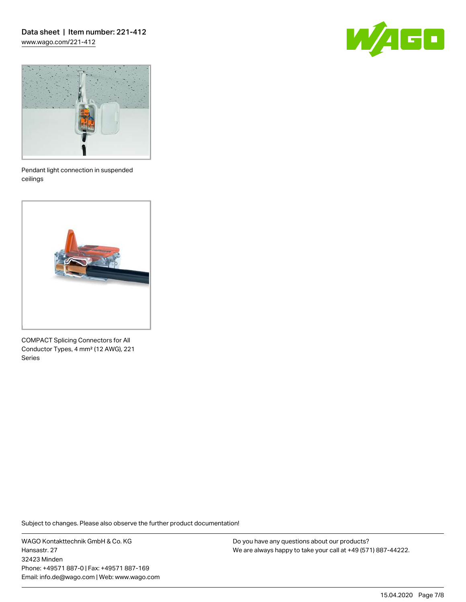## Data sheet | Item number: 221-412 [www.wago.com/221-412](http://www.wago.com/221-412)





Pendant light connection in suspended ceilings



COMPACT Splicing Connectors for All Conductor Types, 4 mm² (12 AWG), 221 Series

Subject to changes. Please also observe the further product documentation!

WAGO Kontakttechnik GmbH & Co. KG Hansastr. 27 32423 Minden Phone: +49571 887-0 | Fax: +49571 887-169 Email: info.de@wago.com | Web: www.wago.com